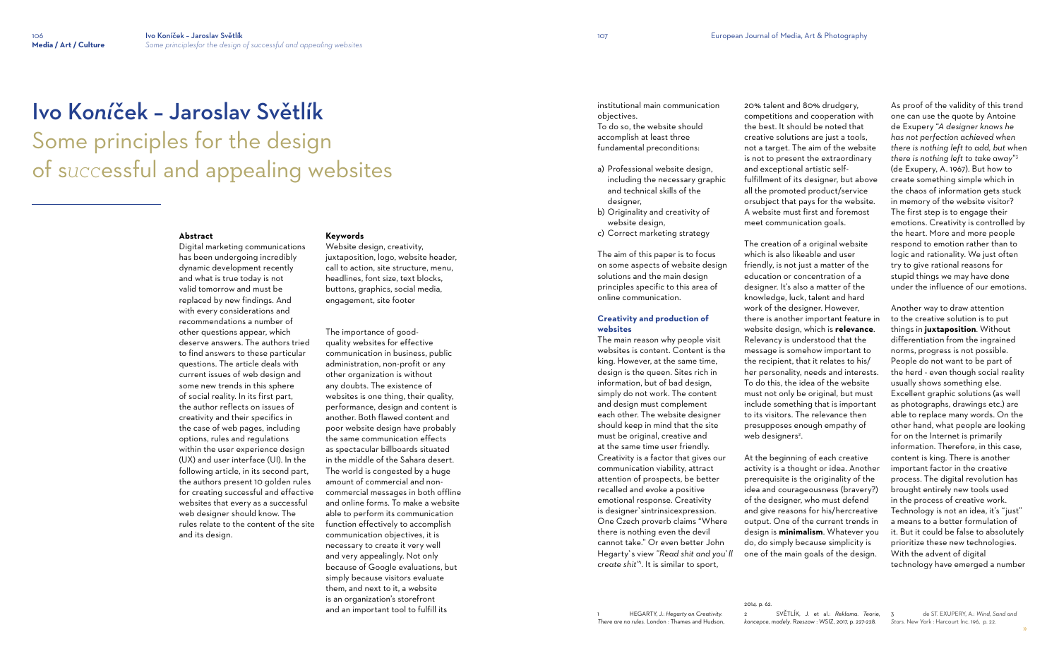# Ivo K*oní*ček – Jaroslav Světlík Some principles for the design of s*ucc*essful and appealing websites

# **Abstract**

Digital marketing communications has been undergoing incredibly dynamic development recently and what is true today is not valid tomorrow and must be replaced by new findings. And with every considerations and recommendations a number of other questions appear, which deserve answers. The authors tried to find answers to these particular questions. The article deals with current issues of web design and some new trends in this sphere of social reality. In its first part, the author reflects on issues of creativity and their specifics in the case of web pages, including options, rules and regulations within the user experience design (UX) and user interface (UI). In the following article, in its second part, the authors present 10 golden rules for creating successful and effective websites that every as a successful web designer should know. The rules relate to the content of the site and its design.

# **Keywords**

Website design, creativity, juxtaposition, logo, website header, call to action, site structure, menu, headlines, font size, text blocks, buttons, graphics, social media, engagement, site footer

The importance of goodquality websites for effective communication in business, public administration, non-profit or any other organization is without any doubts. The existence of websites is one thing, their quality, performance, design and content is another. Both flawed content and poor website design have probably the same communication effects as spectacular billboards situated in the middle of the Sahara desert. The world is congested by a huge amount of commercial and noncommercial messages in both offline and online forms. To make a website able to perform its communication function effectively to accomplish communication objectives, it is necessary to create it very well and very appealingly. Not only because of Google evaluations, but simply because visitors evaluate them, and next to it, a website is an organization's storefront and an important tool to fulfill its

The creation of a original website which is also likeable and user friendly, is not just a matter of the education or concentration of a designer. It's also a matter of the knowledge, luck, talent and hard work of the designer. However, there is another important feature in website design, which is **relevance**. Relevancy is understood that the message is somehow important to the recipient, that it relates to his/ her personality, needs and interests. To do this, the idea of the website must not only be original, but must include something that is important to its visitors. The relevance then presupposes enough empathy of web designers<sup>2</sup>.

institutional main communication objectives. To do so, the website should

accomplish at least three fundamental preconditions:

- a) Professional website design, including the necessary graphic and technical skills of the designer,
- b) Originality and creativity of website design,
- c) Correct marketing strategy

The aim of this paper is to focus on some aspects of website design solutions and the main design principles specific to this area of online communication.

# **Creativity and production of websites**

The main reason why people visit websites is content. Content is the king. However, at the same time, design is the queen. Sites rich in information, but of bad design, simply do not work. The content and design must complement each other. The website designer should keep in mind that the site must be original, creative and at the same time user friendly. Creativity is a factor that gives our communication viability, attract attention of prospects, be better recalled and evoke a positive emotional response. Creativity is designer`sintrinsicexpression. One Czech proverb claims "Where there is nothing even the devil cannot take." Or even better John Hegarty`s view *"Read shit and you`ll create shit"*<sup>1</sup> . It is similar to sport,

20% talent and 80% drudgery, competitions and cooperation with the best. It should be noted that creative solutions are just a tools, not a target. The aim of the website is not to present the extraordinary and exceptional artistic selffulfillment of its designer, but above all the promoted product/service orsubject that pays for the website. A website must first and foremost meet communication goals.

At the beginning of each creative activity is a thought or idea. Another prerequisite is the originality of the idea and courageousness (bravery?) of the designer, who must defend and give reasons for his/hercreative output. One of the current trends in design is **minimalism**. Whatever you do, do simply because simplicity is one of the main goals of the design.

2014. p. 62.

As proof of the validity of this trend one can use the quote by Antoine de Exupery "*A designer knows he has not perfection achieved when there is nothing left to add, but when there is nothing left to take away*" 3 (de Exupery, A. 1967). But how to create something simple which in the chaos of information gets stuck in memory of the website visitor? The first step is to engage their emotions. Creativity is controlled by the heart. More and more people respond to emotion rather than to logic and rationality. We just often try to give rational reasons for stupid things we may have done under the influence of our emotions.

Another way to draw attention to the creative solution is to put things in **juxtaposition**. Without differentiation from the ingrained norms, progress is not possible. People do not want to be part of the herd - even though social reality usually shows something else. Excellent graphic solutions (as well as photographs, drawings etc.) are able to replace many words. On the other hand, what people are looking for on the Internet is primarily information. Therefore, in this case, content is king. There is another important factor in the creative process. The digital revolution has brought entirely new tools used in the process of creative work. Technology is not an idea, it's "just" a means to a better formulation of it. But it could be false to absolutely prioritize these new technologies. With the advent of digital technology have emerged a number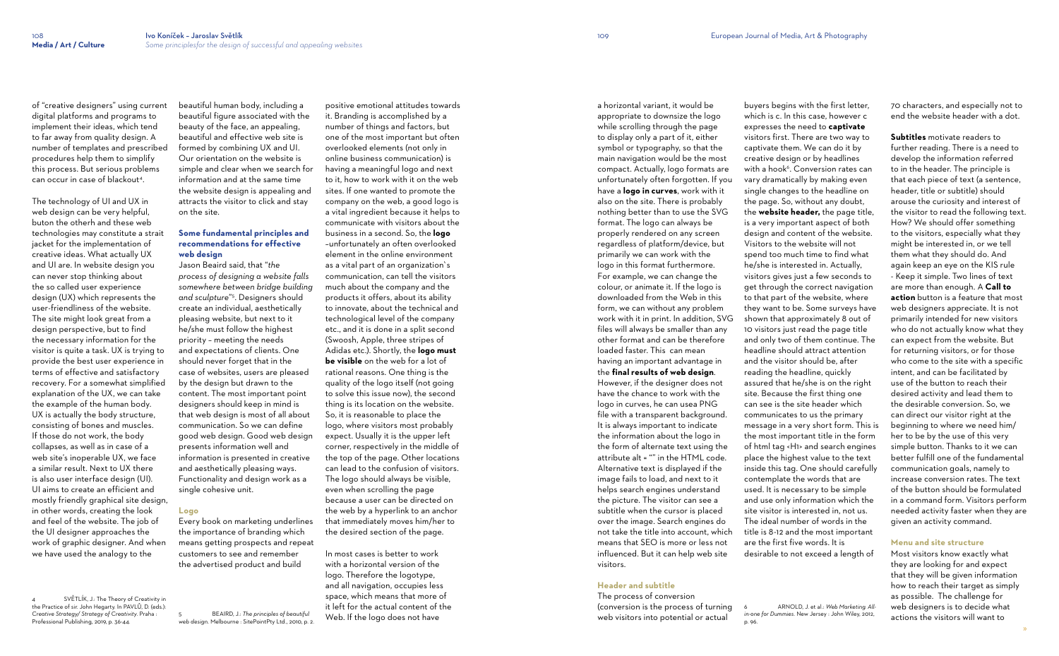of "creative designers" using current digital platforms and programs to implement their ideas, which tend to far away from quality design. A number of templates and prescribed procedures help them to simplify this process. But serious problems can occur in case of blackout<sup>4</sup> .

The technology of UI and UX in web design can be very helpful. buton the otherh and these web technologies may constitute a strait jacket for the implementation of creative ideas. What actually UX and UI are. In website design you can never stop thinking about the so called user experience design (UX) which represents the user-friendliness of the website. The site might look great from a design perspective, but to find the necessary information for the visitor is quite a task. UX is trying to provide the best user experience in terms of effective and satisfactory recovery. For a somewhat simplified explanation of the UX, we can take the example of the human body. UX is actually the body structure, consisting of bones and muscles. If those do not work, the body collapses, as well as in case of a web site's inoperable UX, we face a similar result. Next to UX there is also user interface design (UI). UI aims to create an efficient and mostly friendly graphical site design, in other words, creating the look and feel of the website. The job of the UI designer approaches the work of graphic designer. And when we have used the analogy to the

SVĚTLÍK, J.: The Theory of Creativity in

beautiful human body, including a beautiful figure associated with the beauty of the face, an appealing, beautiful and effective web site is formed by combining UX and UI. Our orientation on the website is simple and clear when we search for information and at the same time the website design is appealing and attracts the visitor to click and stay on the site.

# **Some fundamental principles and recommendations for effective web design**

the Practice of sir. John Hegarty. In PAVLŮ, D. (eds.): *Creative Strategy/ Strategy of Creativity*. Praha : Professional Publishing, 2019, p. 36-44. 5 BEAIRD, J.: *The principles of beautiful* 

Jason Beaird said, that "*the process of designing a website falls somewhere between bridge building and sculpture*" 5 . Designers should create an individual, aesthetically pleasing website, but next to it he/she must follow the highest priority – meeting the needs and expectations of clients. One should never forget that in the case of websites, users are pleased by the design but drawn to the content. The most important point designers should keep in mind is that web design is most of all about communication. So we can define good web design. Good web design presents information well and information is presented in creative and aesthetically pleasing ways. Functionality and design work as a single cohesive unit.

# **Logo**

Every book on marketing underlines the importance of branding which means getting prospects and repeat customers to see and remember the advertised product and build

*web design*. Melbourne : SitePointPty Ltd., 2010, p. 2.

positive emotional attitudes towards it. Branding is accomplished by a number of things and factors, but one of the most important but often overlooked elements (not only in online business communication) is having a meaningful logo and next to it, how to work with it on the web sites. If one wanted to promote the company on the web, a good logo is a vital ingredient because it helps to communicate with visitors about the business in a second. So, the **logo** –unfortunately an often overlooked element in the online environment as a vital part of an organization`s communication, can tell the visitors much about the company and the products it offers, about its ability to innovate, about the technical and technological level of the company etc., and it is done in a split second (Swoosh, Apple, three stripes of Adidas etc.). Shortly, the **logo must be visible** on the web for a lot of rational reasons. One thing is the quality of the logo itself (not going to solve this issue now), the second thing is its location on the website. So, it is reasonable to place the logo, where visitors most probably expect. Usually it is the upper left corner, respectively in the middle of the top of the page. Other locations can lead to the confusion of visitors. The logo should always be visible, even when scrolling the page because a user can be directed on the web by a hyperlink to an anchor that immediately moves him/her to the desired section of the page.

In most cases is better to work with a horizontal version of the logo. Therefore the logotype, and all navigation, occupies less space, which means that more of it left for the actual content of the Web. If the logo does not have

a horizontal variant, it would be appropriate to downsize the logo while scrolling through the page to display only a part of it, either symbol or typography, so that the main navigation would be the most compact. Actually, logo formats are unfortunately often forgotten. If you have a **logo in curves**, work with it also on the site. There is probably nothing better than to use the SVG format. The logo can always be properly rendered on any screen regardless of platform/device, but primarily we can work with the logo in this format furthermore. For example, we can change the colour, or animate it. If the logo is downloaded from the Web in this form, we can without any problem work with it in print. In addition, SVG files will always be smaller than any other format and can be therefore loaded faster. This can mean having an important advantage in the **final results of web design**. However, if the designer does not have the chance to work with the logo in curves, he can usea PNG file with a transparent background. It is always important to indicate the information about the logo in the form of alternate text using the attribute alt = "" in the HTML code. Alternative text is displayed if the image fails to load, and next to it helps search engines understand the picture. The visitor can see a subtitle when the cursor is placed over the image. Search engines do not take the title into account, which means that SEO is more or less not influenced. But it can help web site visitors.

# **Header and subtitle**

The process of conversion (conversion is the process of turning web visitors into potential or actual

buyers begins with the first letter, which is c. In this case, however c expresses the need to **captivate**  visitors first. There are two way to captivate them. We can do it by creative design or by headlines with a hook<sup>6</sup>. Conversion rates can vary dramatically by making even single changes to the headline on the page. So, without any doubt, the **website header,** the page title, is a very important aspect of both design and content of the website. Visitors to the website will not spend too much time to find what he/she is interested in. Actually, visitors gives just a few seconds to get through the correct navigation to that part of the website, where they want to be. Some surveys have shown that approximately 8 out of 10 visitors just read the page title and only two of them continue. The headline should attract attention and the visitor should be, after reading the headline, quickly assured that he/she is on the right site. Because the first thing one can see is the site header which communicates to us the primary message in a very short form. This is the most important title in the form of html tag <H1> and search engines place the highest value to the text inside this tag. One should carefully contemplate the words that are used. It is necessary to be simple and use only information which the site visitor is interested in, not us. The ideal number of words in the title is 8-12 and the most important are the first five words. It is desirable to not exceed a length of

6 ARNOLD, J. et al.: *Web Marketing. Allin-one for Dummies*. New Jersey : John Wiley, 2012,

p. 96.

70 characters, and especially not to end the website header with a dot.

**Subtitles** motivate readers to further reading. There is a need to develop the information referred to in the header. The principle is that each piece of text (a sentence, header, title or subtitle) should arouse the curiosity and interest of the visitor to read the following text. How? We should offer something to the visitors, especially what they might be interested in, or we tell them what they should do. And again keep an eye on the KIS rule - Keep it simple. Two lines of text are more than enough. A **Call to action** button is a feature that most web designers appreciate. It is not primarily intended for new visitors who do not actually know what they can expect from the website. But for returning visitors, or for those who come to the site with a specific intent, and can be facilitated by use of the button to reach their desired activity and lead them to the desirable conversion. So, we can direct our visitor right at the beginning to where we need him/ her to be by the use of this very simple button. Thanks to it we can better fulfill one of the fundamental communication goals, namely to increase conversion rates. The text of the button should be formulated in a command form. Visitors perform needed activity faster when they are given an activity command.

# **Menu and site structure**

Most visitors know exactly what they are looking for and expect that they will be given information how to reach their target as simply as possible. The challenge for web designers is to decide what actions the visitors will want to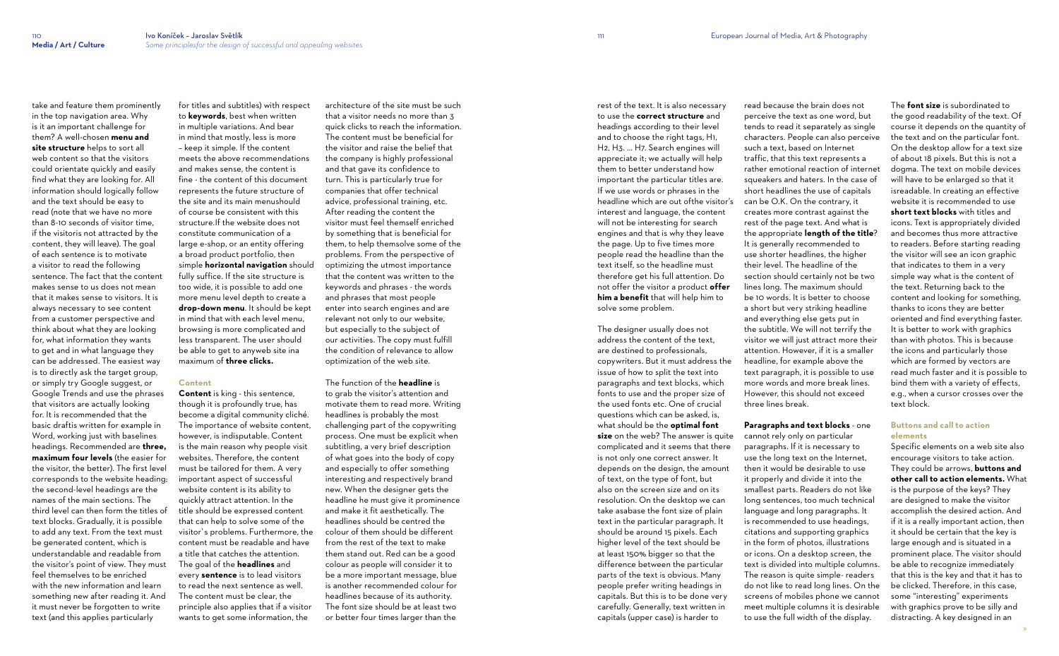take and feature them prominently in the top navigation area. Why is it an important challenge for them? A well-chosen **menu and site structure** helps to sort all web content so that the visitors could orientate quickly and easily find what they are looking for. All information should logically follow and the text should be easy to read (note that we have no more than 8-10 seconds of visitor time, if the visitoris not attracted by the content, they will leave). The goal of each sentence is to motivate a visitor to read the following sentence. The fact that the content makes sense to us does not mean that it makes sense to visitors. It is always necessary to see content from a customer perspective and think about what they are looking for, what information they wants to get and in what language they can be addressed. The easiest way is to directly ask the target group, or simply try Google suggest, or Google Trends and use the phrases that visitors are actually looking for. It is recommended that the basic draftis written for example in Word, working just with baselines headings. Recommended are **three, maximum four levels** (the easier for the visitor, the better). The first level corresponds to the website heading; the second-level headings are the names of the main sections. The third level can then form the titles of text blocks. Gradually, it is possible to add any text. From the text must be generated content, which is understandable and readable from the visitor's point of view. They must feel themselves to be enriched with the new information and learn something new after reading it. And it must never be forgotten to write text (and this applies particularly

for titles and subtitles) with respect to **keywords**, best when written in multiple variations. And bear in mind that mostly, less is more – keep it simple. If the content meets the above recommendations and makes sense, the content is fine - the content of this document represents the future structure of the site and its main menushould of course be consistent with this structure.If the website does not constitute communication of a large e-shop, or an entity offering a broad product portfolio, then simple **horizontal navigation** should fully suffice. If the site structure is too wide, it is possible to add one more menu level depth to create a **drop-down menu**. It should be kept in mind that with each level menu, browsing is more complicated and less transparent. The user should be able to get to anyweb site ina maximum of **three clicks.**

# **Content**

**Content** is king - this sentence, though it is profoundly true, has become a digital community cliché. The importance of website content, however, is indisputable. Content is the main reason why people visit websites. Therefore, the content must be tailored for them. A very important aspect of successful website content is its ability to quickly attract attention. In the title should be expressed content that can help to solve some of the visitor`s problems. Furthermore, the content must be readable and have a title that catches the attention. The goal of the **headlines** and every **sentence** is to lead visitors to read the next sentence as well. The content must be clear, the principle also applies that if a visitor wants to get some information, the

architecture of the site must be such that a visitor needs no more than 3 quick clicks to reach the information. The content must be beneficial for the visitor and raise the belief that the company is highly professional and that gave its confidence to turn. This is particularly true for companies that offer technical advice, professional training, etc. After reading the content the visitor must feel themself enriched by something that is beneficial for them, to help themsolve some of the problems. From the perspective of optimizing the utmost importance that the content was written to the keywords and phrases - the words and phrases that most people enter into search engines and are relevant not only to our website, but especially to the subject of our activities. The copy must fulfill the condition of relevance to allow optimization of the web site.

The function of the **headline** is to grab the visitor's attention and motivate them to read more. Writing headlines is probably the most challenging part of the copywriting process. One must be explicit when subtitling, a very brief description of what goes into the body of copy and especially to offer something interesting and respectively brand new. When the designer gets the headline he must give it prominence and make it fit aesthetically. The headlines should be centred the colour of them should be different from the rest of the text to make them stand out. Red can be a good colour as people will consider it to be a more important message, blue is another recommended colour for headlines because of its authority. The font size should be at least two or better four times larger than the

rest of the text. It is also necessary to use the **correct structure** and headings according to their level and to choose the right tags, H1, H2, H3. ... H7. Search engines will appreciate it; we actually will help them to better understand how important the particular titles are. If we use words or phrases in the headline which are out ofthe visitor's interest and language, the content will not be interesting for search engines and that is why they leave the page. Up to five times more people read the headline than the text itself, so the headline must therefore get his full attention. Do not offer the visitor a product **offer him a benefit** that will help him to solve some problem.

The designer usually does not address the content of the text, are destined to professionals, copywriters. But it must address the issue of how to split the text into paragraphs and text blocks, which fonts to use and the proper size of the used fonts etc. One of crucial questions which can be asked, is, what should be the **optimal font size** on the web? The answer is quite complicated and it seems that there is not only one correct answer. It depends on the design, the amount of text, on the type of font, but also on the screen size and on its resolution. On the desktop we can take asabase the font size of plain text in the particular paragraph. It should be around 15 pixels. Each higher level of the text should be at least 150% bigger so that the difference between the particular parts of the text is obvious. Many people prefer writing headings in capitals. But this is to be done very carefully. Generally, text written in capitals (upper case) is harder to

read because the brain does not perceive the text as one word, but tends to read it separately as single characters. People can also perceive such a text, based on Internet traffic, that this text represents a rather emotional reaction of internet squeakers and haters. In the case of short headlines the use of capitals can be O.K. On the contrary, it creates more contrast against the rest of the page text. And what is the appropriate **length of the title**? It is generally recommended to use shorter headlines, the higher their level. The headline of the section should certainly not be two lines long. The maximum should be 10 words. It is better to choose a short but very striking headline and everything else gets put in the subtitle. We will not terrify the visitor we will just attract more their attention. However, if it is a smaller headline, for example above the text paragraph, it is possible to use more words and more break lines. However, this should not exceed three lines break.

**Paragraphs and text blocks** - one cannot rely only on particular paragraphs. If it is necessary to use the long text on the Internet, then it would be desirable to use it properly and divide it into the smallest parts. Readers do not like long sentences, too much technical language and long paragraphs. It is recommended to use headings, citations and supporting graphics in the form of photos, illustrations or icons. On a desktop screen, the text is divided into multiple columns. The reason is quite simple- readers do not like to read long lines. On the screens of mobiles phone we cannot meet multiple columns it is desirable to use the full width of the display.

The **font size** is subordinated to the good readability of the text. Of course it depends on the quantity of the text and on the particular font. On the desktop allow for a text size of about 18 pixels. But this is not a dogma. The text on mobile devices will have to be enlarged so that it isreadable. In creating an effective website it is recommended to use **short text blocks** with titles and icons. Text is appropriately divided and becomes thus more attractive to readers. Before starting reading the visitor will see an icon graphic that indicates to them in a very simple way what is the content of the text. Returning back to the content and looking for something, thanks to icons they are better oriented and find everything faster. It is better to work with graphics than with photos. This is because the icons and particularly those which are formed by vectors are read much faster and it is possible to bind them with a variety of effects, e.g., when a cursor crosses over the text block.

# **Buttons and call to action elements**

Specific elements on a web site also encourage visitors to take action. They could be arrows, **buttons and other call to action elements.** What is the purpose of the keys? They are designed to make the visitor accomplish the desired action. And if it is a really important action, then it should be certain that the key is large enough and is situated in a prominent place. The visitor should be able to recognize immediately that this is the key and that it has to be clicked. Therefore, in this case, some "interesting" experiments with graphics prove to be silly and distracting. A key designed in an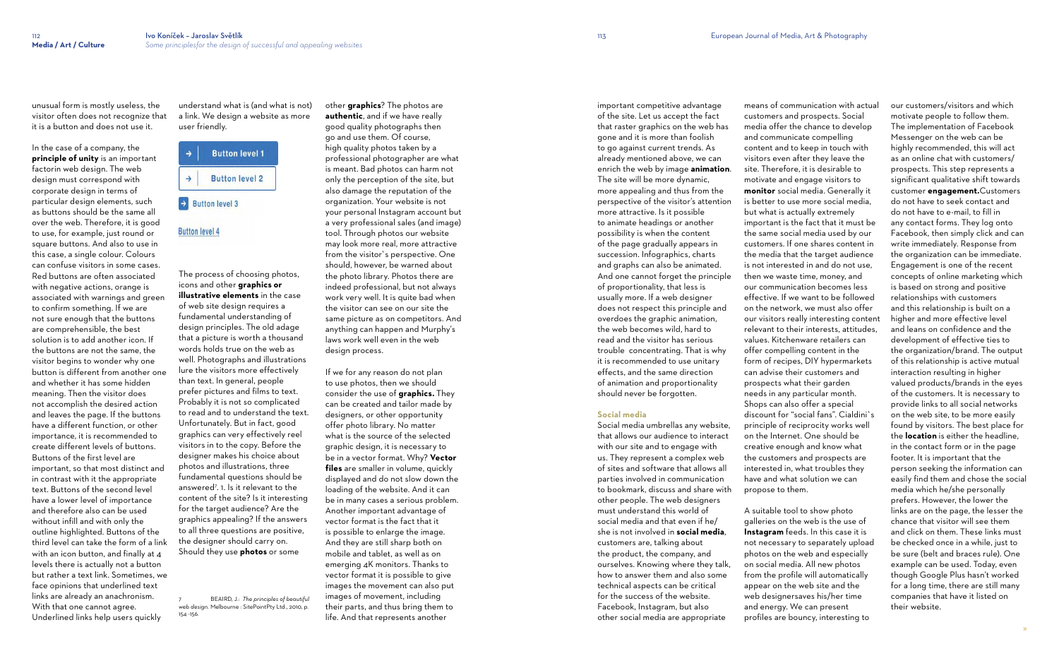unusual form is mostly useless, the visitor often does not recognize that it is a button and does not use it.

In the case of a company, the **principle of unity** is an important factorin web design. The web design must correspond with corporate design in terms of particular design elements, such as buttons should be the same all over the web. Therefore, it is good to use, for example, just round or square buttons. And also to use in this case, a single colour. Colours can confuse visitors in some cases. Red buttons are often associated with negative actions, orange is associated with warnings and green to confirm something. If we are not sure enough that the buttons are comprehensible, the best solution is to add another icon. If the buttons are not the same, the visitor begins to wonder why one button is different from another one and whether it has some hidden meaning. Then the visitor does not accomplish the desired action and leaves the page. If the buttons have a different function, or other importance, it is recommended to create different levels of buttons. Buttons of the first level are important, so that most distinct and in contrast with it the appropriate text. Buttons of the second level have a lower level of importance and therefore also can be used without infill and with only the outline highlighted. Buttons of the third level can take the form of a link with an icon button, and finally at 4 levels there is actually not a button but rather a text link. Sometimes, we face opinions that underlined text links are already an anachronism. With that one cannot agree. Underlined links help users quickly

understand what is (and what is not) a link. We design a website as more user friendly.





The process of choosing photos, icons and other **graphics or illustrative elements** in the case of web site design requires a fundamental understanding of

design principles. The old adage that a picture is worth a thousand words holds true on the web as well. Photographs and illustrations lure the visitors more effectively than text. In general, people prefer pictures and films to text. Probably it is not so complicated to read and to understand the text. Unfortunately. But in fact, good graphics can very effectively reel visitors in to the copy. Before the designer makes his choice about photos and illustrations, three fundamental questions should be answered<sup>7</sup> . 1. Is it relevant to the content of the site? Is it interesting for the target audience? Are the graphics appealing? If the answers to all three questions are positive, the designer should carry on. Should they use **photos** or some

7 BEAIRD, J.: *The principles of beautiful web design*. Melbourne : SitePointPty Ltd., 2010, p. 154 -156.

other **graphics**? The photos are **authentic**, and if we have really good quality photographs then go and use them. Of course, high quality photos taken by a professional photographer are what is meant. Bad photos can harm not only the perception of the site, but also damage the reputation of the organization. Your website is not your personal Instagram account but a very professional sales (and image) tool. Through photos our website may look more real, more attractive from the visitor`s perspective. One should, however, be warned about the photo library. Photos there are indeed professional, but not always work very well. It is quite bad when the visitor can see on our site the same picture as on competitors. And anything can happen and Murphy's laws work well even in the web design process.

If we for any reason do not plan to use photos, then we should consider the use of **graphics.** They can be created and tailor made by designers, or other opportunity offer photo library. No matter what is the source of the selected graphic design, it is necessary to be in a vector format. Why? **Vector files** are smaller in volume, quickly displayed and do not slow down the loading of the website. And it can be in many cases a serious problem. Another important advantage of vector format is the fact that it is possible to enlarge the image. And they are still sharp both on mobile and tablet, as well as on emerging 4K monitors. Thanks to vector format it is possible to give images the movement can also put images of movement, including their parts, and thus bring them to life. And that represents another

important competitive advantage of the site. Let us accept the fact that raster graphics on the web has gone and it is more than foolish to go against current trends. As already mentioned above, we can enrich the web by image **animation**. The site will be more dynamic, more appealing and thus from the perspective of the visitor's attention more attractive. Is it possible to animate headings or another possibility is when the content of the page gradually appears in succession. Infographics, charts and graphs can also be animated. And one cannot forget the principle of proportionality, that less is usually more. If a web designer does not respect this principle and overdoes the graphic animation, the web becomes wild, hard to read and the visitor has serious trouble concentrating. That is why it is recommended to use unitary effects, and the same direction of animation and proportionality should never be forgotten.

# **Social media**

Social media umbrellas any website, that allows our audience to interact with our site and to engage with us. They represent a complex web of sites and software that allows all parties involved in communication to bookmark, discuss and share with other people. The web designers must understand this world of social media and that even if he/ she is not involved in **social media**, customers are, talking about the product, the company, and ourselves. Knowing where they talk, how to answer them and also some technical aspects can be critical for the success of the website. Facebook, Instagram, but also other social media are appropriate

means of communication with actual customers and prospects. Social media offer the chance to develop and communicate compelling content and to keep in touch with visitors even after they leave the site. Therefore, it is desirable to motivate and engage visitors to **monitor** social media. Generally it is better to use more social media, but what is actually extremely important is the fact that it must be the same social media used by our customers. If one shares content in the media that the target audience is not interested in and do not use, then we waste time, money, and our communication becomes less effective. If we want to be followed on the network, we must also offer our visitors really interesting content relevant to their interests, attitudes, values. Kitchenware retailers can offer compelling content in the form of recipes, DIY hypermarkets can advise their customers and prospects what their garden needs in any particular month. Shops can also offer a special discount for "social fans". Cialdini`s principle of reciprocity works well on the Internet. One should be creative enough and know what the customers and prospects are interested in, what troubles they have and what solution we can propose to them.

A suitable tool to show photo galleries on the web is the use of **Instagram** feeds. In this case it is not necessary to separately upload photos on the web and especially on social media. All new photos from the profile will automatically appear on the web site and the web designersaves his/her time and energy. We can present profiles are bouncy, interesting to

our customers/visitors and which motivate people to follow them. The implementation of Facebook Messenger on the web can be highly recommended, this will act as an online chat with customers/ prospects. This step represents a significant qualitative shift towards customer **engagement.**Customers do not have to seek contact and do not have to e-mail, to fill in any contact forms. They log onto Facebook, then simply click and can write immediately. Response from the organization can be immediate. Engagement is one of the recent concepts of online marketing which is based on strong and positive relationships with customers and this relationship is built on a higher and more effective level and leans on confidence and the development of effective ties to the organization/brand. The output of this relationship is active mutual interaction resulting in higher valued products/brands in the eyes of the customers. It is necessary to provide links to all social networks on the web site, to be more easily found by visitors. The best place for the **location** is either the headline, in the contact form or in the page footer. It is important that the person seeking the information can easily find them and chose the social media which he/she personally prefers. However, the lower the links are on the page, the lesser the chance that visitor will see them and click on them. These links must be checked once in a while, just to be sure (belt and braces rule). One example can be used. Today, even though Google Plus hasn't worked for a long time, there are still many companies that have it listed on their website.